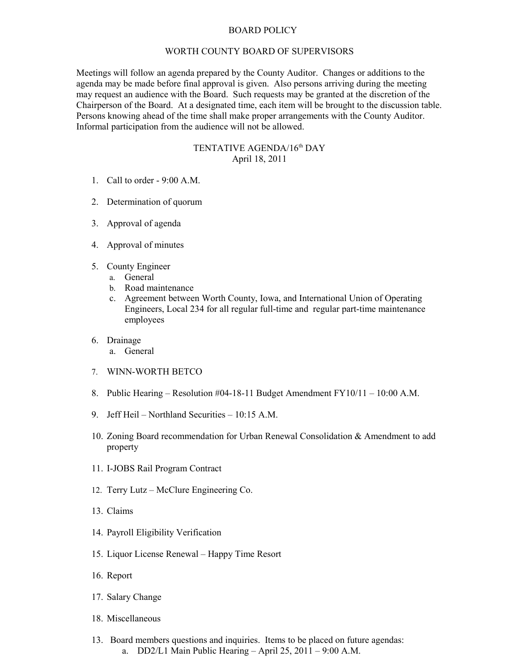## BOARD POLICY

## WORTH COUNTY BOARD OF SUPERVISORS

Meetings will follow an agenda prepared by the County Auditor. Changes or additions to the agenda may be made before final approval is given. Also persons arriving during the meeting may request an audience with the Board. Such requests may be granted at the discretion of the Chairperson of the Board. At a designated time, each item will be brought to the discussion table. Persons knowing ahead of the time shall make proper arrangements with the County Auditor. Informal participation from the audience will not be allowed.

## TENTATIVE AGENDA/16<sup>th</sup> DAY April 18, 2011

- 1. Call to order 9:00 A.M.
- 2. Determination of quorum
- 3. Approval of agenda
- 4. Approval of minutes
- 5. County Engineer
	- a. General
	- b. Road maintenance
	- c. Agreement between Worth County, Iowa, and International Union of Operating Engineers, Local 234 for all regular full-time and regular part-time maintenance employees
- 6. Drainage
	- a. General
- 7. WINN-WORTH BETCO
- 8. Public Hearing Resolution #04-18-11 Budget Amendment FY10/11 10:00 A.M.
- 9. Jeff Heil Northland Securities 10:15 A.M.
- 10. Zoning Board recommendation for Urban Renewal Consolidation & Amendment to add property
- 11. I-JOBS Rail Program Contract
- 12. Terry Lutz McClure Engineering Co.
- 13. Claims
- 14. Payroll Eligibility Verification
- 15. Liquor License Renewal Happy Time Resort
- 16. Report
- 17. Salary Change
- 18. Miscellaneous
- 13. Board members questions and inquiries. Items to be placed on future agendas: a. DD2/L1 Main Public Hearing – April 25, 2011 – 9:00 A.M.